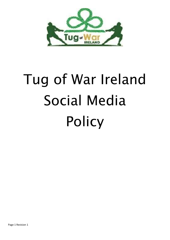

# Tug of War Ireland Social Media Policy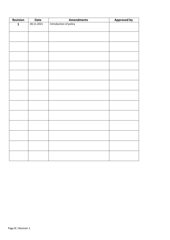| Revision     | Date       | <b>Amendments</b>      | <b>Approved by</b> |
|--------------|------------|------------------------|--------------------|
| $\mathbf{1}$ | 28.11.2021 | Introduction of policy |                    |
|              |            |                        |                    |
|              |            |                        |                    |
|              |            |                        |                    |
|              |            |                        |                    |
|              |            |                        |                    |
|              |            |                        |                    |
|              |            |                        |                    |
|              |            |                        |                    |
|              |            |                        |                    |
|              |            |                        |                    |
|              |            |                        |                    |
|              |            |                        |                    |
|              |            |                        |                    |
|              |            |                        |                    |
|              |            |                        |                    |
|              |            |                        |                    |
|              |            |                        |                    |
|              |            |                        |                    |
|              |            |                        |                    |
|              |            |                        |                    |
|              |            |                        |                    |
|              |            |                        |                    |
|              |            |                        |                    |
|              |            |                        |                    |
|              |            |                        |                    |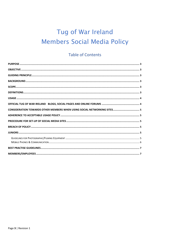# Tug of War Ireland **Members Social Media Policy**

# **Table of Contents**

| CONSIDERATION TOWARDS OTHER MEMBERS WHEN USING SOCIAL NETWORKING SITES 5 |
|--------------------------------------------------------------------------|
|                                                                          |
|                                                                          |
|                                                                          |
|                                                                          |
|                                                                          |
|                                                                          |
|                                                                          |
|                                                                          |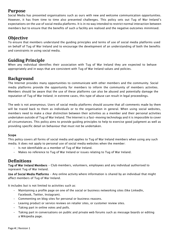#### **Purpose**

Social Media has presented organisations such as ours with new and welcome communication opportunities. However, it has from time to time also presented challenges. This policy sets out Tug of War Ireland's expectations on the use of social media platforms. It is in no way intended to restrict normal interaction between members but to ensure that the benefits of such a facility are realised and the negative outcomes minimised.

#### **Objective**

To ensure that members understand the guiding principles and terms of use of social media platforms used on behalf of Tug of War Ireland and to encourage the development of an understanding of both the benefits and constraints in using social media.

#### **Guiding Principle**

When any individual identifies their association with Tug of War Ireland they are expected to behave appropriately and in ways that are consistent with Tug of War Ireland values and policies.

# **Background**

The Internet provides many opportunities to communicate with other members and the community. Social media platforms provide the opportunity for members to inform the community of members activities. Members should be aware that the use of these platforms can also be abused and potentially damage the reputation of Tug of War Ireland; in extreme cases, this type of abuse can result in legal proceedings.

The web is not anonymous. Users of social media platforms should assume that all comments made by them will be traced back to them as individuals or to the organisation in general. When using social websites, members need to make a clear distinction between their activities as a member and their personal activities undertaken outside of Tug of War Ireland. The Internet is a fast-moving technology and it is impossible to cover all circumstances. This policy aims to provide guiding principles to help to exercise good judgment as well as providing specific detail on behaviour that must not be undertaken.

#### Scope

This policy covers all forms of social media and applies to Tug of War Ireland members when using any such media. It does not apply to personal use of social media websites when the member:

- Is not identifiable as a member of Tug of War Ireland.
- Makes no reference to Tug of War Ireland or issues relating to Tug of War Ireland.

#### **Definitions**

Tug of War Ireland Members - Club members, volunteers, employees and any individual authorised to represent Tug of War Ireland.

Use of Social Media Platforms - Any online activity where information is shared by an individual that might affect members of Tug of War Ireland.

It includes but is not limited to activities such as:

- Maintaining a profile page on one of the social or business networking sites (like LinkedIn, Facebook, Twitter, Instagram).
- Commenting on blog sites for personal or business reasons.
- Leaving product or service reviews on retailer sites, or customer review sites.
- Taking part in online votes and polls.
- Taking part in conversations on public and private web forums such as message boards or editing a Wikipedia page.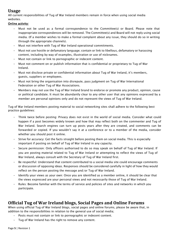# **Usage**

All current responsibilities of Tug of War Ireland members remain in force when using social media websites.

#### Online activity:

- Must not be used as a formal correspondence to the Committee(s) or Board. Please note that inappropriate correspondences will be removed. The Committee(s) and Board will not reply using social media. (If a member wishes to make a formal complaint about any issue, they should do so in writing through the appropriate channels).
- Must not interfere with Tug of War Ireland operational commitments.
- Must not use hostile or defamatory language; contain or link to libellous, defamatory or harassing content, including by way of examples, illustration or use of nicknames.
- Must not contain or link to pornographic or indecent content.
- Must not comment on or publish information that is confidential or proprietary to Tug of War Ireland.
- Must not disclose private or confidential information about Tug of War Ireland, it's members, guests, suppliers or employees.
- Must not bring the organisation into disrepute, pass judgment on Tug of War International Federation or other Tug of War Associations.
- Members may not use the Tug of War Ireland brand to endorse or promote any product, opinion, cause or political candidate. It must be abundantly clear to any other user that any opinions expressed by a member are personal opinions only and do not represent the views of Tug of War Ireland.

Tug of War Ireland members posting material to social networking sites shall adhere to the following best practice guidelines:

- Think twice before posting: Privacy does not exist in the world of social media. Consider what could happen if a post becomes widely known and how that may reflect both on the commenter and Tug of War Ireland. Search engines can turn up posts years after they are created, and comments can be forwarded or copied. If you wouldn't say it at a conference or to a member of the media, consider whether you should post it online.
- Strive for accuracy: Get the facts straight before posting them on social media. This is especially important if posting on behalf of Tug of War Ireland in any capacity.
- Secure permission: Only officers authorised to do so may speak on behalf of Tug of War Ireland. If you are posting material related to Tug of War Ireland or attempting to reflect the views of Tug of War Ireland, always consult with the Secretary of Tug of War Ireland first.
- Be respectful: Understand that content contributed to a social media site could encourage comments or discussion of opposing ideas. Responses should be considered carefully in light of how they would reflect on the person posting the message and/or Tug of War Ireland.
- Identify your views as your own: Once you are identified as a member online, it should be clear that the views expressed are your personal views and not necessarily those of Tug of War Ireland.
- Rules: Become familiar with the terms of service and policies of sites and networks in which you participate.

# **Official Tug of War Ireland blogs, Social Pages and Online Forums**

When using official Tug of War Ireland blogs, social pages and online forums, please be aware that, in addition to the responsibilities in relation to the general use of social media;

- Posts must not contain or link to pornographic or indecent content.
- Tug of War Ireland has the right to remove any content.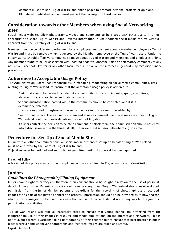- Members must not use Tug of War Ireland online pages to promote personal projects or opinions.
- All materials published or used must respect the copyright of third parties.

#### **Consideration towards other Members when using Social Networking sites**

Social media websites allow photographs, videos and comments to be shared with other users. It is not appropriate to share Tug of War Ireland -related information in unauthorised social media forums without approval from the Secretary of Tug of War Ireland

Members must be considerate to other members, employees and content about a member, employee or Tug of War Ireland must be removed when requested by the Member, employee or the Tug of War Ireland. Under no circumstance should offensive comments be made about Tug of War Ireland members and employees online. Any member found to be (or associated with) posting negative, obscene, false or defamatory comments of any nature on Facebook, Twitter or any other social media site or on the internet in general may face disciplinary procedures.

#### **Adherence to Acceptable Usage Policy**

The Administration (Board) has responsibility, in managing/moderating all social media communities/sites relating to Tug of War Ireland, to ensure that the acceptable usage policy is adhered to.

- Posts that should be deleted include but are not limited to: off-topic posts, spam, spam links, abusive posts, and expletive and hate language.
- Serious misinformation posted within the community should be corrected (and if it is defamatory, deleted).
- Users are required to register on the social media site; posts cannot be added by "anonymous" users. This can reduce spam and abusive comments, and in some cases, means Tug of War Ireland could hand over details in the event of litigation.
- If a user contests the decision to delete a comment, or block them, the Administration should not enter into a discussion within the thread itself, but move the discussion elsewhere e.g. via email.

# **Procedure for Set-Up of Social Media Sites**

In line with all other communications, all social media presences set up on behalf of Tug of War Ireland must be approved by the Board of Tug of War Ireland.

Objectives must be outlined and set up is not permitted until full approval has been granted.

#### Breach of Policy

A breach of this policy may result in disciplinary action as outlined in Tug of War Ireland Constitution.

# **Juniors**

#### *Guidelines for Photographic/Filming Equipment*

Juniors have a right to privacy and therefore their consent should be sought in relation to the use of personal data including images. Parental consent should also be sought, and Tug of War Ireland should receive signed permission from the junior Member parents or guardians for the recording of photographic and recorded images etc as part of the player's application process. Information should also be provided as to how and for what purpose images will be used. Be aware that refusal of consent should not in any way limit a junior's participation in activities.

Page **6** | Revision 1 Tug of War Ireland will take all necessary steps to ensure that young people are protected from the inappropriate use of their images in resource and media publications, on the internet and elsewhere. This is not to avoid parents/guardians taking photographs of their children but to ensure that best practice is put in place wherever and whenever photographs and recorded images are taken and stored.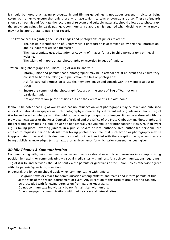It should be noted that having photographic and filming guidelines is not about preventing pictures being taken, but rather to ensure that only those who have a right to take photographs do so. These safeguards should still permit and facilitate the recording of relevant and suitable materials, should allow us to photograph the enjoyment gained by participating. A common-sense approach is required when deciding on what may or may not be appropriate to publish or record.

The key concerns regarding the use of images and photographs of juniors relate to:

- The possible identification of juniors when a photograph is accompanied by personal information and its inappropriate use thereafter.
- The inappropriate use, adaptation or copying of images for use in child pornography or illegal website.
- The taking of inappropriate photographs or recorded images of juniors.

When using photographs of Juniors, Tug of War Ireland will:

- Inform junior and parents that a photographer may be in attendance at an event and ensure they consent to both the taking and publication of films or photographs.
- Ask for parental permission to use the members image and consult with the member about its usage.
- Ensure the content of the photograph focuses on the sport of Tug of War not on a particular junior.
- Not approve/allow photo sessions outside the events or at a Junior's home.

It should be noted that Tug of War Ireland has no influence on what photographs may be taken and published in local or national newspapers as such photography is covered by a different set of guidelines. Should Tug of War Ireland ever be unhappy with the publication of such photographs or images, it can be addressed with the individual newspaper or the Press Council of Ireland and the Office of the Press Ombudsman. Photography and the recording of images in a public place do not generally require explicit or prior consent. However, if an event e.g. is taking place, involving juniors, in a public, private or local authority area, authorised personnel are entitled to request a person to desist from taking photos if you feel that such action or photography may be inappropriate. In general, individual juniors should not be identified with the exception being when they are being publicly acknowledged (e.g. an award or achievement), for which prior consent has been given.

#### *Mobile Phones & Communication*

Communicating with junior members, coaches and mentors should never place themselves in a compromising position by texting or communicating via social media sites with minors. All such communications regarding Tug of War Ireland activities should be sent via the parents or guardians of the junior, unless otherwise agreed with the parents/guardians, in writing.

In general, the following should apply when communicating with juniors:

- Use group texts or emails for communication among athletes and teams and inform parents of this at the start of the season, tournament or event. Any exception to this form of group texting can only be proceeded with following permission from parents/guardians.
- Do not communicate individually by text/email sites with juniors.
- Do not engage in communications with juniors via social network sites.